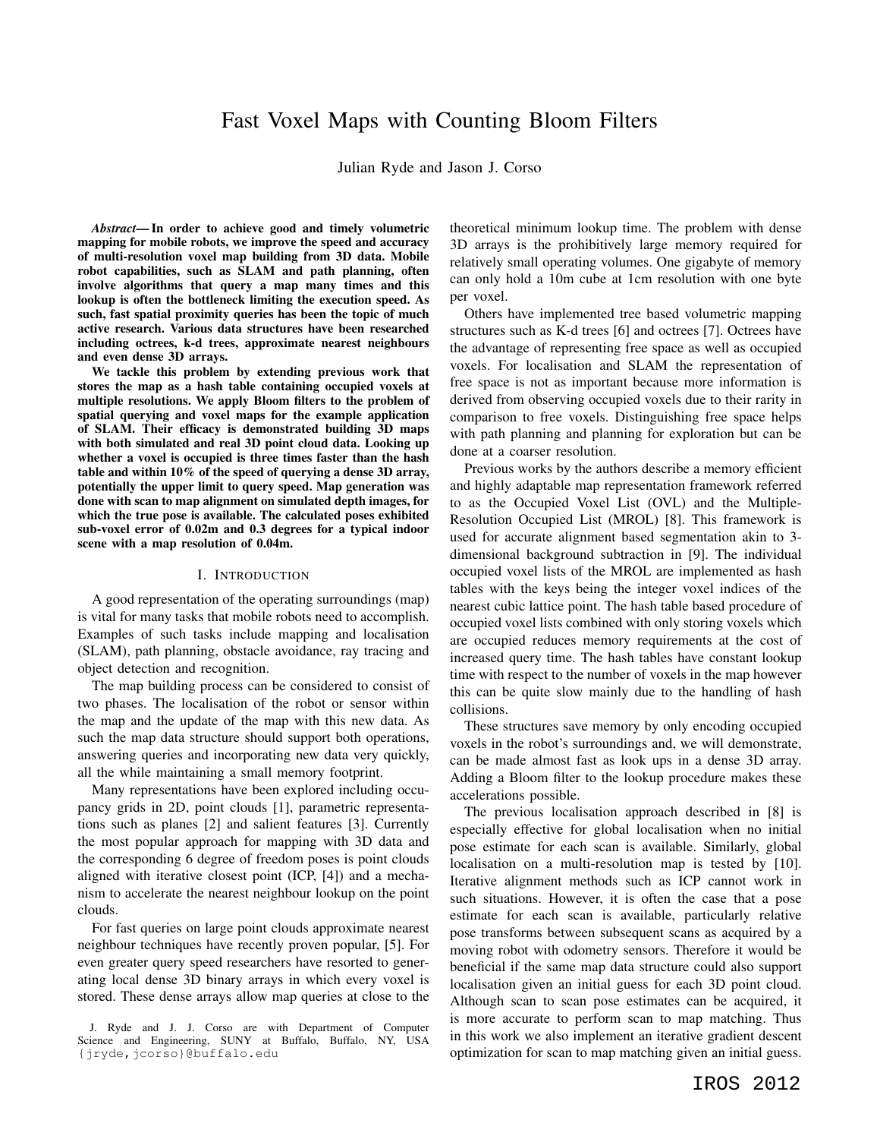# Fast Voxel Maps with Counting Bloom Filters

Julian Ryde and Jason J. Corso

*Abstract*— In order to achieve good and timely volumetric mapping for mobile robots, we improve the speed and accuracy of multi-resolution voxel map building from 3D data. Mobile robot capabilities, such as SLAM and path planning, often involve algorithms that query a map many times and this lookup is often the bottleneck limiting the execution speed. As such, fast spatial proximity queries has been the topic of much active research. Various data structures have been researched including octrees, k-d trees, approximate nearest neighbours and even dense 3D arrays.

We tackle this problem by extending previous work that stores the map as a hash table containing occupied voxels at multiple resolutions. We apply Bloom filters to the problem of spatial querying and voxel maps for the example application of SLAM. Their efficacy is demonstrated building 3D maps with both simulated and real 3D point cloud data. Looking up whether a voxel is occupied is three times faster than the hash table and within 10% of the speed of querying a dense 3D array, potentially the upper limit to query speed. Map generation was done with scan to map alignment on simulated depth images, for which the true pose is available. The calculated poses exhibited sub-voxel error of 0.02m and 0.3 degrees for a typical indoor scene with a map resolution of 0.04m.

#### I. INTRODUCTION

A good representation of the operating surroundings (map) is vital for many tasks that mobile robots need to accomplish. Examples of such tasks include mapping and localisation (SLAM), path planning, obstacle avoidance, ray tracing and object detection and recognition.

The map building process can be considered to consist of two phases. The localisation of the robot or sensor within the map and the update of the map with this new data. As such the map data structure should support both operations, answering queries and incorporating new data very quickly, all the while maintaining a small memory footprint.

Many representations have been explored including occupancy grids in 2D, point clouds [1], parametric representations such as planes [2] and salient features [3]. Currently the most popular approach for mapping with 3D data and the corresponding 6 degree of freedom poses is point clouds aligned with iterative closest point (ICP, [4]) and a mechanism to accelerate the nearest neighbour lookup on the point clouds.

For fast queries on large point clouds approximate nearest neighbour techniques have recently proven popular, [5]. For even greater query speed researchers have resorted to generating local dense 3D binary arrays in which every voxel is stored. These dense arrays allow map queries at close to the theoretical minimum lookup time. The problem with dense 3D arrays is the prohibitively large memory required for relatively small operating volumes. One gigabyte of memory can only hold a 10m cube at 1cm resolution with one byte per voxel.

Others have implemented tree based volumetric mapping structures such as K-d trees [6] and octrees [7]. Octrees have the advantage of representing free space as well as occupied voxels. For localisation and SLAM the representation of free space is not as important because more information is derived from observing occupied voxels due to their rarity in comparison to free voxels. Distinguishing free space helps with path planning and planning for exploration but can be done at a coarser resolution.

Previous works by the authors describe a memory efficient and highly adaptable map representation framework referred to as the Occupied Voxel List (OVL) and the Multiple-Resolution Occupied List (MROL) [8]. This framework is used for accurate alignment based segmentation akin to 3 dimensional background subtraction in [9]. The individual occupied voxel lists of the MROL are implemented as hash tables with the keys being the integer voxel indices of the nearest cubic lattice point. The hash table based procedure of occupied voxel lists combined with only storing voxels which are occupied reduces memory requirements at the cost of increased query time. The hash tables have constant lookup time with respect to the number of voxels in the map however this can be quite slow mainly due to the handling of hash collisions.

These structures save memory by only encoding occupied voxels in the robot's surroundings and, we will demonstrate, can be made almost fast as look ups in a dense 3D array. Adding a Bloom filter to the lookup procedure makes these accelerations possible.

The previous localisation approach described in [8] is especially effective for global localisation when no initial pose estimate for each scan is available. Similarly, global localisation on a multi-resolution map is tested by [10]. Iterative alignment methods such as ICP cannot work in such situations. However, it is often the case that a pose estimate for each scan is available, particularly relative pose transforms between subsequent scans as acquired by a moving robot with odometry sensors. Therefore it would be beneficial if the same map data structure could also support localisation given an initial guess for each 3D point cloud. Although scan to scan pose estimates can be acquired, it is more accurate to perform scan to map matching. Thus in this work we also implement an iterative gradient descent optimization for scan to map matching given an initial guess.

J. Ryde and J. J. Corso are with Department of Computer Science and Engineering, SUNY at Buffalo, Buffalo, NY, USA {jryde,jcorso}@buffalo.edu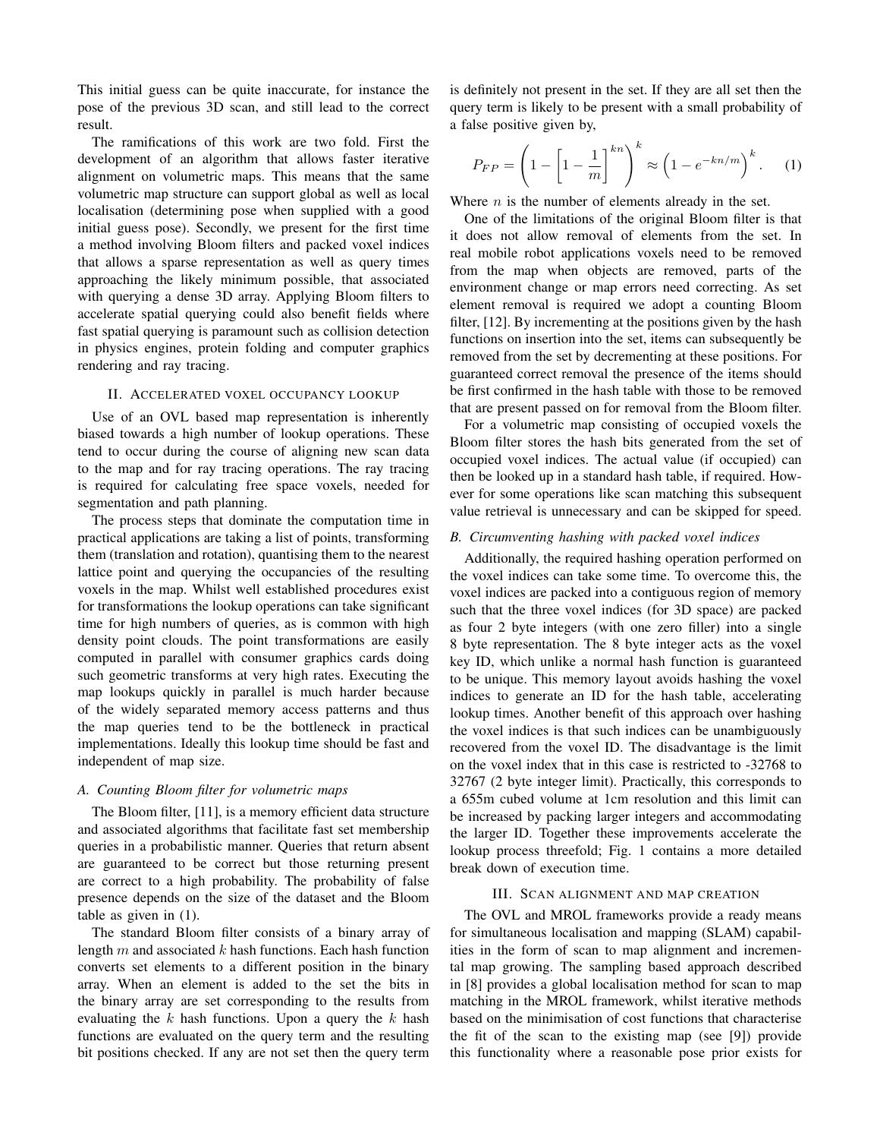This initial guess can be quite inaccurate, for instance the pose of the previous 3D scan, and still lead to the correct result.

The ramifications of this work are two fold. First the development of an algorithm that allows faster iterative alignment on volumetric maps. This means that the same volumetric map structure can support global as well as local localisation (determining pose when supplied with a good initial guess pose). Secondly, we present for the first time a method involving Bloom filters and packed voxel indices that allows a sparse representation as well as query times approaching the likely minimum possible, that associated with querying a dense 3D array. Applying Bloom filters to accelerate spatial querying could also benefit fields where fast spatial querying is paramount such as collision detection in physics engines, protein folding and computer graphics rendering and ray tracing.

#### II. ACCELERATED VOXEL OCCUPANCY LOOKUP

Use of an OVL based map representation is inherently biased towards a high number of lookup operations. These tend to occur during the course of aligning new scan data to the map and for ray tracing operations. The ray tracing is required for calculating free space voxels, needed for segmentation and path planning.

The process steps that dominate the computation time in practical applications are taking a list of points, transforming them (translation and rotation), quantising them to the nearest lattice point and querying the occupancies of the resulting voxels in the map. Whilst well established procedures exist for transformations the lookup operations can take significant time for high numbers of queries, as is common with high density point clouds. The point transformations are easily computed in parallel with consumer graphics cards doing such geometric transforms at very high rates. Executing the map lookups quickly in parallel is much harder because of the widely separated memory access patterns and thus the map queries tend to be the bottleneck in practical implementations. Ideally this lookup time should be fast and independent of map size.

### *A. Counting Bloom filter for volumetric maps*

The Bloom filter, [11], is a memory efficient data structure and associated algorithms that facilitate fast set membership queries in a probabilistic manner. Queries that return absent are guaranteed to be correct but those returning present are correct to a high probability. The probability of false presence depends on the size of the dataset and the Bloom table as given in (1).

The standard Bloom filter consists of a binary array of length  $m$  and associated  $k$  hash functions. Each hash function converts set elements to a different position in the binary array. When an element is added to the set the bits in the binary array are set corresponding to the results from evaluating the  $k$  hash functions. Upon a query the  $k$  hash functions are evaluated on the query term and the resulting bit positions checked. If any are not set then the query term is definitely not present in the set. If they are all set then the query term is likely to be present with a small probability of a false positive given by,

$$
P_{FP} = \left(1 - \left[1 - \frac{1}{m}\right]^{kn}\right)^k \approx \left(1 - e^{-kn/m}\right)^k. \tag{1}
$$

Where  $n$  is the number of elements already in the set.

One of the limitations of the original Bloom filter is that it does not allow removal of elements from the set. In real mobile robot applications voxels need to be removed from the map when objects are removed, parts of the environment change or map errors need correcting. As set element removal is required we adopt a counting Bloom filter, [12]. By incrementing at the positions given by the hash functions on insertion into the set, items can subsequently be removed from the set by decrementing at these positions. For guaranteed correct removal the presence of the items should be first confirmed in the hash table with those to be removed that are present passed on for removal from the Bloom filter.

For a volumetric map consisting of occupied voxels the Bloom filter stores the hash bits generated from the set of occupied voxel indices. The actual value (if occupied) can then be looked up in a standard hash table, if required. However for some operations like scan matching this subsequent value retrieval is unnecessary and can be skipped for speed.

#### *B. Circumventing hashing with packed voxel indices*

Additionally, the required hashing operation performed on the voxel indices can take some time. To overcome this, the voxel indices are packed into a contiguous region of memory such that the three voxel indices (for 3D space) are packed as four 2 byte integers (with one zero filler) into a single 8 byte representation. The 8 byte integer acts as the voxel key ID, which unlike a normal hash function is guaranteed to be unique. This memory layout avoids hashing the voxel indices to generate an ID for the hash table, accelerating lookup times. Another benefit of this approach over hashing the voxel indices is that such indices can be unambiguously recovered from the voxel ID. The disadvantage is the limit on the voxel index that in this case is restricted to -32768 to 32767 (2 byte integer limit). Practically, this corresponds to a 655m cubed volume at 1cm resolution and this limit can be increased by packing larger integers and accommodating the larger ID. Together these improvements accelerate the lookup process threefold; Fig. 1 contains a more detailed break down of execution time.

### III. SCAN ALIGNMENT AND MAP CREATION

The OVL and MROL frameworks provide a ready means for simultaneous localisation and mapping (SLAM) capabilities in the form of scan to map alignment and incremental map growing. The sampling based approach described in [8] provides a global localisation method for scan to map matching in the MROL framework, whilst iterative methods based on the minimisation of cost functions that characterise the fit of the scan to the existing map (see [9]) provide this functionality where a reasonable pose prior exists for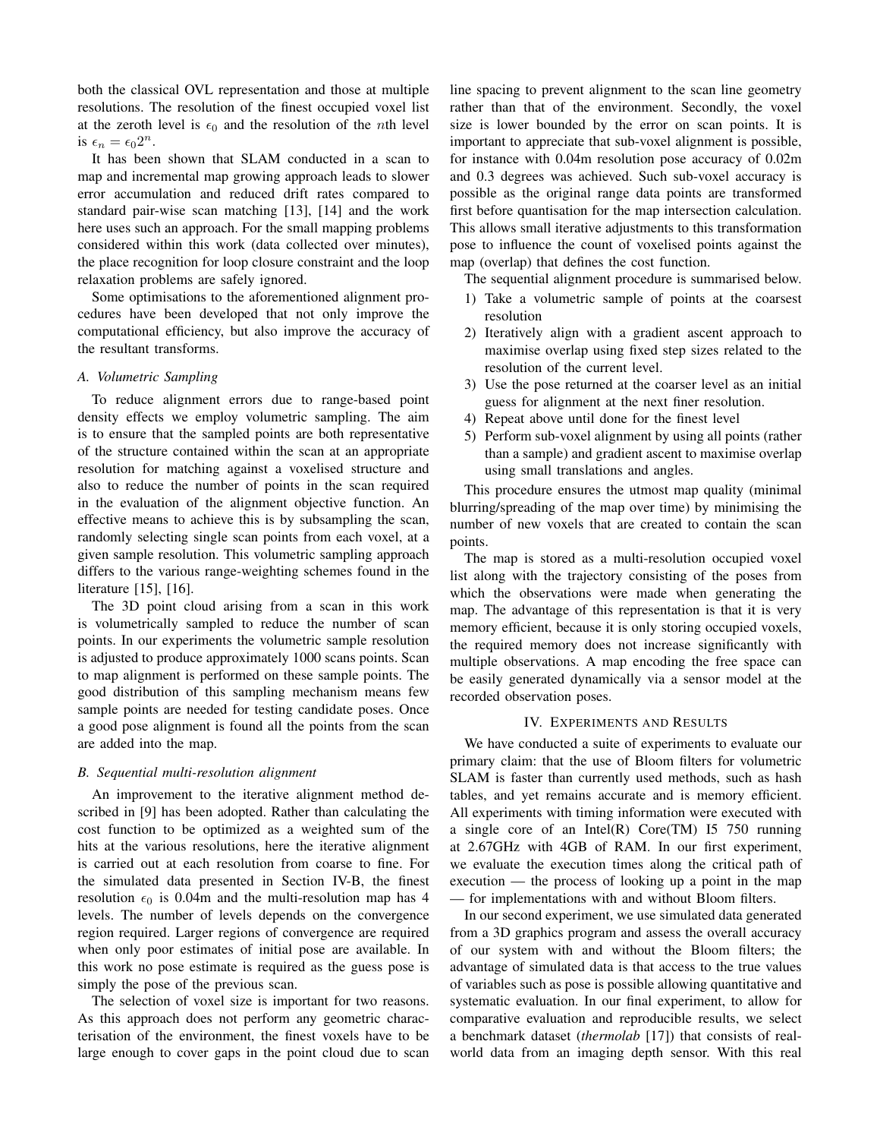both the classical OVL representation and those at multiple resolutions. The resolution of the finest occupied voxel list at the zeroth level is  $\epsilon_0$  and the resolution of the *n*th level is  $\epsilon_n = \epsilon_0 2^n$ .

It has been shown that SLAM conducted in a scan to map and incremental map growing approach leads to slower error accumulation and reduced drift rates compared to standard pair-wise scan matching [13], [14] and the work here uses such an approach. For the small mapping problems considered within this work (data collected over minutes), the place recognition for loop closure constraint and the loop relaxation problems are safely ignored.

Some optimisations to the aforementioned alignment procedures have been developed that not only improve the computational efficiency, but also improve the accuracy of the resultant transforms.

### *A. Volumetric Sampling*

To reduce alignment errors due to range-based point density effects we employ volumetric sampling. The aim is to ensure that the sampled points are both representative of the structure contained within the scan at an appropriate resolution for matching against a voxelised structure and also to reduce the number of points in the scan required in the evaluation of the alignment objective function. An effective means to achieve this is by subsampling the scan, randomly selecting single scan points from each voxel, at a given sample resolution. This volumetric sampling approach differs to the various range-weighting schemes found in the literature [15], [16].

The 3D point cloud arising from a scan in this work is volumetrically sampled to reduce the number of scan points. In our experiments the volumetric sample resolution is adjusted to produce approximately 1000 scans points. Scan to map alignment is performed on these sample points. The good distribution of this sampling mechanism means few sample points are needed for testing candidate poses. Once a good pose alignment is found all the points from the scan are added into the map.

### *B. Sequential multi-resolution alignment*

An improvement to the iterative alignment method described in [9] has been adopted. Rather than calculating the cost function to be optimized as a weighted sum of the hits at the various resolutions, here the iterative alignment is carried out at each resolution from coarse to fine. For the simulated data presented in Section IV-B, the finest resolution  $\epsilon_0$  is 0.04m and the multi-resolution map has 4 levels. The number of levels depends on the convergence region required. Larger regions of convergence are required when only poor estimates of initial pose are available. In this work no pose estimate is required as the guess pose is simply the pose of the previous scan.

The selection of voxel size is important for two reasons. As this approach does not perform any geometric characterisation of the environment, the finest voxels have to be large enough to cover gaps in the point cloud due to scan line spacing to prevent alignment to the scan line geometry rather than that of the environment. Secondly, the voxel size is lower bounded by the error on scan points. It is important to appreciate that sub-voxel alignment is possible, for instance with 0.04m resolution pose accuracy of 0.02m and 0.3 degrees was achieved. Such sub-voxel accuracy is possible as the original range data points are transformed first before quantisation for the map intersection calculation. This allows small iterative adjustments to this transformation pose to influence the count of voxelised points against the map (overlap) that defines the cost function.

The sequential alignment procedure is summarised below.

- 1) Take a volumetric sample of points at the coarsest resolution
- 2) Iteratively align with a gradient ascent approach to maximise overlap using fixed step sizes related to the resolution of the current level.
- 3) Use the pose returned at the coarser level as an initial guess for alignment at the next finer resolution.
- 4) Repeat above until done for the finest level
- 5) Perform sub-voxel alignment by using all points (rather than a sample) and gradient ascent to maximise overlap using small translations and angles.

This procedure ensures the utmost map quality (minimal blurring/spreading of the map over time) by minimising the number of new voxels that are created to contain the scan points.

The map is stored as a multi-resolution occupied voxel list along with the trajectory consisting of the poses from which the observations were made when generating the map. The advantage of this representation is that it is very memory efficient, because it is only storing occupied voxels, the required memory does not increase significantly with multiple observations. A map encoding the free space can be easily generated dynamically via a sensor model at the recorded observation poses.

#### IV. EXPERIMENTS AND RESULTS

We have conducted a suite of experiments to evaluate our primary claim: that the use of Bloom filters for volumetric SLAM is faster than currently used methods, such as hash tables, and yet remains accurate and is memory efficient. All experiments with timing information were executed with a single core of an Intel $(R)$  Core $(TM)$  15 750 running at 2.67GHz with 4GB of RAM. In our first experiment, we evaluate the execution times along the critical path of execution — the process of looking up a point in the map — for implementations with and without Bloom filters.

In our second experiment, we use simulated data generated from a 3D graphics program and assess the overall accuracy of our system with and without the Bloom filters; the advantage of simulated data is that access to the true values of variables such as pose is possible allowing quantitative and systematic evaluation. In our final experiment, to allow for comparative evaluation and reproducible results, we select a benchmark dataset (*thermolab* [17]) that consists of realworld data from an imaging depth sensor. With this real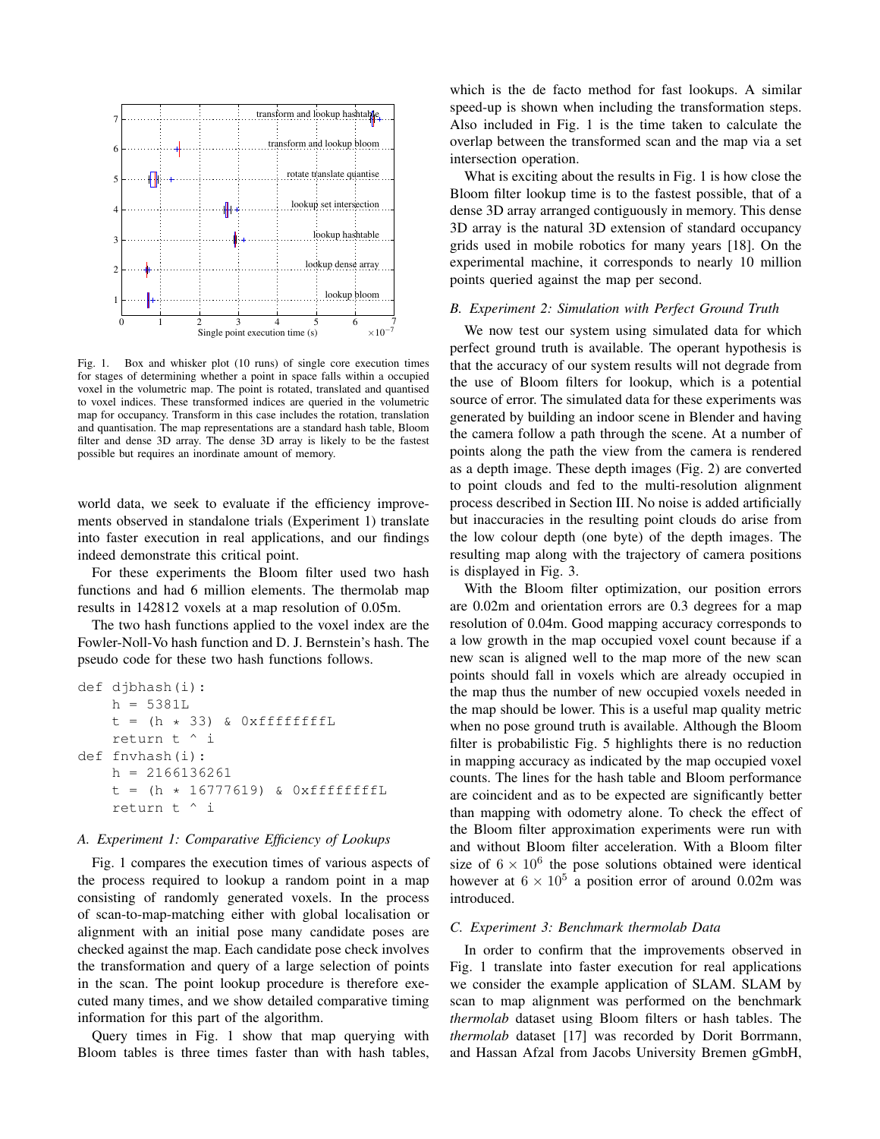

Fig. 1. Box and whisker plot (10 runs) of single core execution times for stages of determining whether a point in space falls within a occupied voxel in the volumetric map. The point is rotated, translated and quantised to voxel indices. These transformed indices are queried in the volumetric map for occupancy. Transform in this case includes the rotation, translation and quantisation. The map representations are a standard hash table, Bloom filter and dense 3D array. The dense 3D array is likely to be the fastest possible but requires an inordinate amount of memory.

world data, we seek to evaluate if the efficiency improvements observed in standalone trials (Experiment 1) translate into faster execution in real applications, and our findings indeed demonstrate this critical point.

For these experiments the Bloom filter used two hash functions and had 6 million elements. The thermolab map results in 142812 voxels at a map resolution of 0.05m.

The two hash functions applied to the voxel index are the Fowler-Noll-Vo hash function and D. J. Bernstein's hash. The pseudo code for these two hash functions follows.

```
def djbhash(i):
    h = 5381Lt = (h * 33) & OxffffffffL
    return t ^ i
def fnvhash(i):
    h = 2166136261
    t = (h * 16777619) & OxffffffffL
    return t ^ i
```
## *A. Experiment 1: Comparative Efficiency of Lookups*

Fig. 1 compares the execution times of various aspects of the process required to lookup a random point in a map consisting of randomly generated voxels. In the process of scan-to-map-matching either with global localisation or alignment with an initial pose many candidate poses are checked against the map. Each candidate pose check involves the transformation and query of a large selection of points in the scan. The point lookup procedure is therefore executed many times, and we show detailed comparative timing information for this part of the algorithm.

Query times in Fig. 1 show that map querying with Bloom tables is three times faster than with hash tables, which is the de facto method for fast lookups. A similar speed-up is shown when including the transformation steps. Also included in Fig. 1 is the time taken to calculate the overlap between the transformed scan and the map via a set intersection operation.

What is exciting about the results in Fig. 1 is how close the Bloom filter lookup time is to the fastest possible, that of a dense 3D array arranged contiguously in memory. This dense 3D array is the natural 3D extension of standard occupancy grids used in mobile robotics for many years [18]. On the experimental machine, it corresponds to nearly 10 million points queried against the map per second.

### *B. Experiment 2: Simulation with Perfect Ground Truth*

We now test our system using simulated data for which perfect ground truth is available. The operant hypothesis is that the accuracy of our system results will not degrade from the use of Bloom filters for lookup, which is a potential source of error. The simulated data for these experiments was generated by building an indoor scene in Blender and having the camera follow a path through the scene. At a number of points along the path the view from the camera is rendered as a depth image. These depth images (Fig. 2) are converted to point clouds and fed to the multi-resolution alignment process described in Section III. No noise is added artificially but inaccuracies in the resulting point clouds do arise from the low colour depth (one byte) of the depth images. The resulting map along with the trajectory of camera positions is displayed in Fig. 3.

With the Bloom filter optimization, our position errors are 0.02m and orientation errors are 0.3 degrees for a map resolution of 0.04m. Good mapping accuracy corresponds to a low growth in the map occupied voxel count because if a new scan is aligned well to the map more of the new scan points should fall in voxels which are already occupied in the map thus the number of new occupied voxels needed in the map should be lower. This is a useful map quality metric when no pose ground truth is available. Although the Bloom filter is probabilistic Fig. 5 highlights there is no reduction in mapping accuracy as indicated by the map occupied voxel counts. The lines for the hash table and Bloom performance are coincident and as to be expected are significantly better than mapping with odometry alone. To check the effect of the Bloom filter approximation experiments were run with and without Bloom filter acceleration. With a Bloom filter size of  $6 \times 10^6$  the pose solutions obtained were identical however at  $6 \times 10^5$  a position error of around 0.02m was introduced.

## *C. Experiment 3: Benchmark thermolab Data*

In order to confirm that the improvements observed in Fig. 1 translate into faster execution for real applications we consider the example application of SLAM. SLAM by scan to map alignment was performed on the benchmark *thermolab* dataset using Bloom filters or hash tables. The *thermolab* dataset [17] was recorded by Dorit Borrmann, and Hassan Afzal from Jacobs University Bremen gGmbH,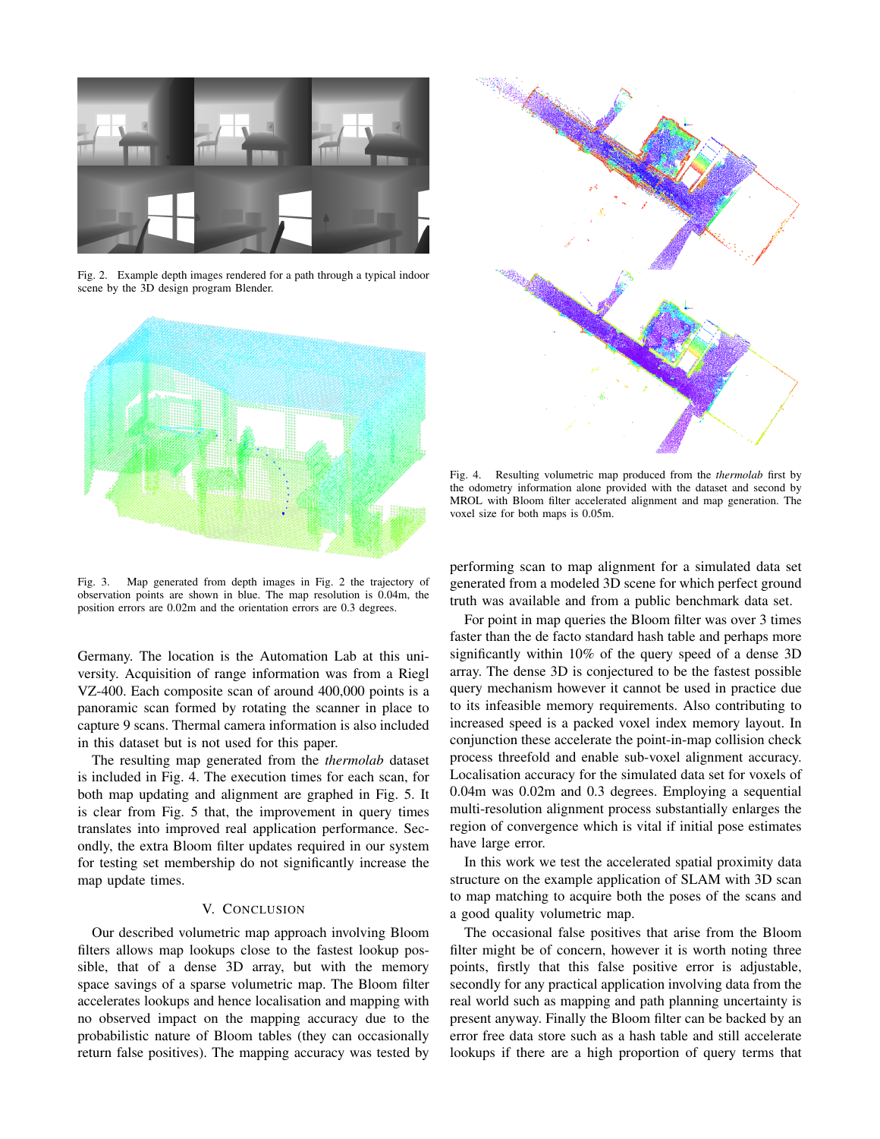

Fig. 2. Example depth images rendered for a path through a typical indoor scene by the 3D design program Blender.



Fig. 3. Map generated from depth images in Fig. 2 the trajectory of observation points are shown in blue. The map resolution is 0.04m, the position errors are 0.02m and the orientation errors are 0.3 degrees.

Germany. The location is the Automation Lab at this university. Acquisition of range information was from a Riegl VZ-400. Each composite scan of around 400,000 points is a panoramic scan formed by rotating the scanner in place to capture 9 scans. Thermal camera information is also included in this dataset but is not used for this paper.

The resulting map generated from the *thermolab* dataset is included in Fig. 4. The execution times for each scan, for both map updating and alignment are graphed in Fig. 5. It is clear from Fig. 5 that, the improvement in query times translates into improved real application performance. Secondly, the extra Bloom filter updates required in our system for testing set membership do not significantly increase the map update times.

## V. CONCLUSION

Our described volumetric map approach involving Bloom filters allows map lookups close to the fastest lookup possible, that of a dense 3D array, but with the memory space savings of a sparse volumetric map. The Bloom filter accelerates lookups and hence localisation and mapping with no observed impact on the mapping accuracy due to the probabilistic nature of Bloom tables (they can occasionally return false positives). The mapping accuracy was tested by



Fig. 4. Resulting volumetric map produced from the *thermolab* first by the odometry information alone provided with the dataset and second by MROL with Bloom filter accelerated alignment and map generation. The voxel size for both maps is 0.05m.

performing scan to map alignment for a simulated data set generated from a modeled 3D scene for which perfect ground truth was available and from a public benchmark data set.

For point in map queries the Bloom filter was over 3 times faster than the de facto standard hash table and perhaps more significantly within 10% of the query speed of a dense 3D array. The dense 3D is conjectured to be the fastest possible query mechanism however it cannot be used in practice due to its infeasible memory requirements. Also contributing to increased speed is a packed voxel index memory layout. In conjunction these accelerate the point-in-map collision check process threefold and enable sub-voxel alignment accuracy. Localisation accuracy for the simulated data set for voxels of 0.04m was 0.02m and 0.3 degrees. Employing a sequential multi-resolution alignment process substantially enlarges the region of convergence which is vital if initial pose estimates have large error.

In this work we test the accelerated spatial proximity data structure on the example application of SLAM with 3D scan to map matching to acquire both the poses of the scans and a good quality volumetric map.

The occasional false positives that arise from the Bloom filter might be of concern, however it is worth noting three points, firstly that this false positive error is adjustable, secondly for any practical application involving data from the real world such as mapping and path planning uncertainty is present anyway. Finally the Bloom filter can be backed by an error free data store such as a hash table and still accelerate lookups if there are a high proportion of query terms that